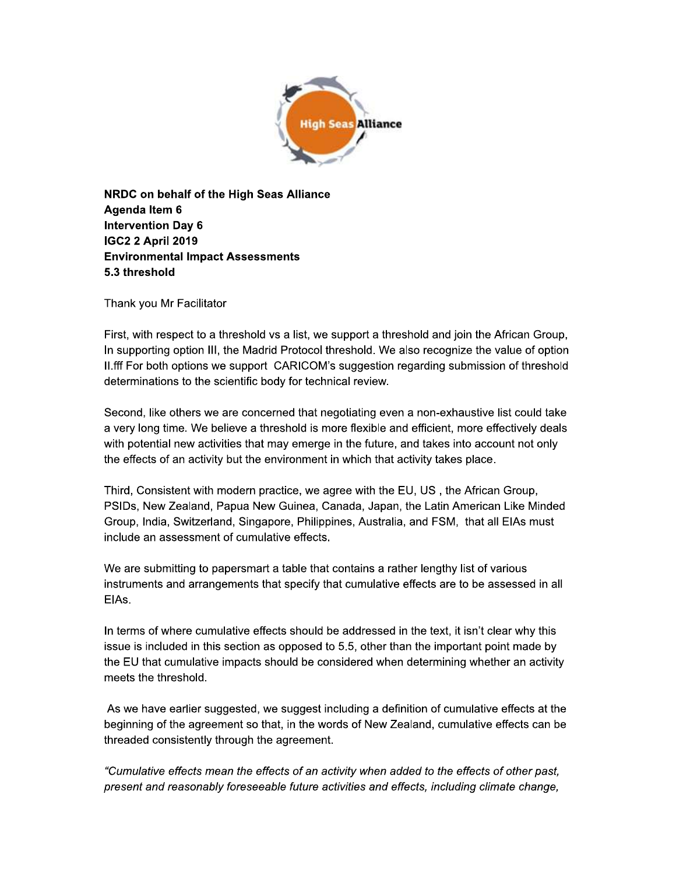

NRDC on behalf of the High Seas Alliance Agenda Item 6 **Intervention Day 6 IGC2 2 April 2019 Environmental Impact Assessments** 5.3 threshold

Thank you Mr Facilitator

First, with respect to a threshold vs a list, we support a threshold and join the African Group, In supporting option III, the Madrid Protocol threshold. We also recognize the value of option II.fff For both options we support CARICOM's suggestion regarding submission of threshold determinations to the scientific body for technical review.

Second, like others we are concerned that negotiating even a non-exhaustive list could take a very long time. We believe a threshold is more flexible and efficient, more effectively deals with potential new activities that may emerge in the future, and takes into account not only the effects of an activity but the environment in which that activity takes place.

Third, Consistent with modern practice, we agree with the EU, US, the African Group, PSIDs, New Zealand, Papua New Guinea, Canada, Japan, the Latin American Like Minded Group, India, Switzerland, Singapore, Philippines, Australia, and FSM, that all EIAs must include an assessment of cumulative effects.

We are submitting to papersmart a table that contains a rather lengthy list of various instruments and arrangements that specify that cumulative effects are to be assessed in all EIAs.

In terms of where cumulative effects should be addressed in the text, it isn't clear why this issue is included in this section as opposed to 5.5, other than the important point made by the EU that cumulative impacts should be considered when determining whether an activity meets the threshold

As we have earlier suggested, we suggest including a definition of cumulative effects at the beginning of the agreement so that, in the words of New Zealand, cumulative effects can be threaded consistently through the agreement.

"Cumulative effects mean the effects of an activity when added to the effects of other past, present and reasonably foreseeable future activities and effects, including climate change,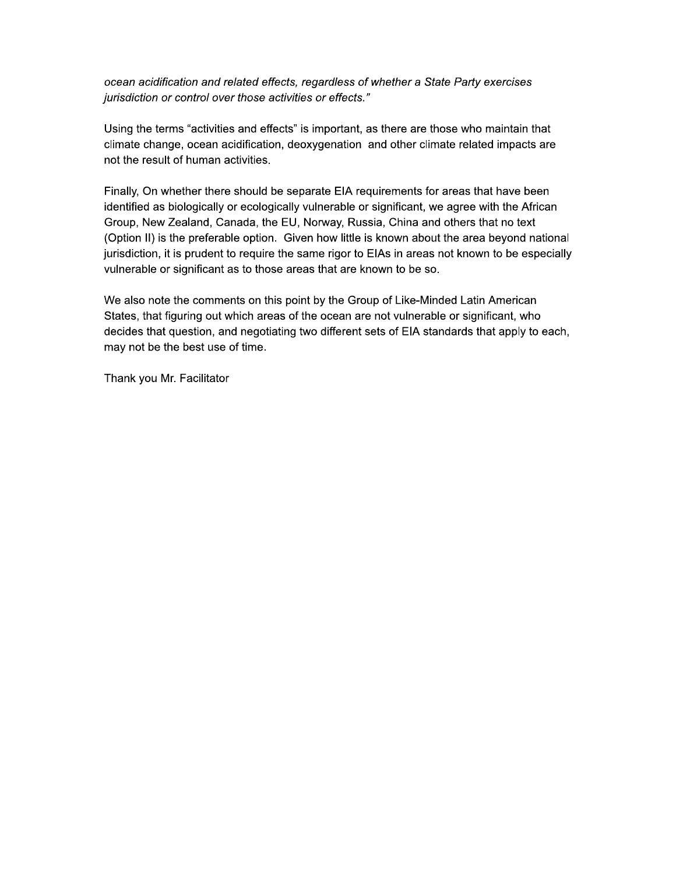ocean acidification and related effects, regardless of whether a State Party exercises jurisdiction or control over those activities or effects."

Using the terms "activities and effects" is important, as there are those who maintain that climate change, ocean acidification, deoxygenation and other climate related impacts are not the result of human activities.

Finally, On whether there should be separate EIA requirements for areas that have been identified as biologically or ecologically vulnerable or significant, we agree with the African Group, New Zealand, Canada, the EU, Norway, Russia, China and others that no text (Option II) is the preferable option. Given how little is known about the area beyond national jurisdiction, it is prudent to require the same rigor to EIAs in areas not known to be especially vulnerable or significant as to those areas that are known to be so.

We also note the comments on this point by the Group of Like-Minded Latin American States, that figuring out which areas of the ocean are not vulnerable or significant, who decides that question, and negotiating two different sets of EIA standards that apply to each, may not be the best use of time.

Thank you Mr. Facilitator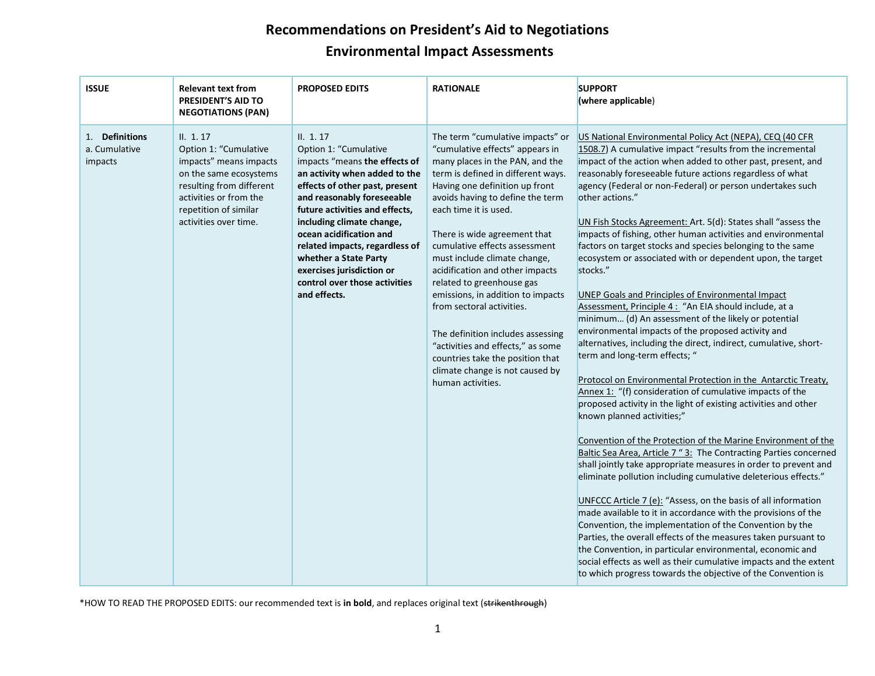## **Recommendations on President's Aid to Negotiations Environmental Impact Assessments**

| <b>ISSUE</b>                               | <b>Relevant text from</b><br><b>PRESIDENT'S AID TO</b><br><b>NEGOTIATIONS (PAN)</b>                                                                                                           | <b>PROPOSED EDITS</b>                                                                                                                                                                                                                                                                                                                                                                                  | <b>RATIONALE</b>                                                                                                                                                                                                                                                                                                                                                                                                                                                                                                                                                                                                                                     | <b>SUPPORT</b><br>(where applicable)                                                                                                                                                                                                                                                                                                                                                                                                                                                                                                                                                                                                                                                                                                                                                                                                                                                                                                                                                                                                                                                                                                                                                                                                                                                                                                                                                                                                                                                                                                                                                                                                                                                                                                                                                                                                                                                                                   |
|--------------------------------------------|-----------------------------------------------------------------------------------------------------------------------------------------------------------------------------------------------|--------------------------------------------------------------------------------------------------------------------------------------------------------------------------------------------------------------------------------------------------------------------------------------------------------------------------------------------------------------------------------------------------------|------------------------------------------------------------------------------------------------------------------------------------------------------------------------------------------------------------------------------------------------------------------------------------------------------------------------------------------------------------------------------------------------------------------------------------------------------------------------------------------------------------------------------------------------------------------------------------------------------------------------------------------------------|------------------------------------------------------------------------------------------------------------------------------------------------------------------------------------------------------------------------------------------------------------------------------------------------------------------------------------------------------------------------------------------------------------------------------------------------------------------------------------------------------------------------------------------------------------------------------------------------------------------------------------------------------------------------------------------------------------------------------------------------------------------------------------------------------------------------------------------------------------------------------------------------------------------------------------------------------------------------------------------------------------------------------------------------------------------------------------------------------------------------------------------------------------------------------------------------------------------------------------------------------------------------------------------------------------------------------------------------------------------------------------------------------------------------------------------------------------------------------------------------------------------------------------------------------------------------------------------------------------------------------------------------------------------------------------------------------------------------------------------------------------------------------------------------------------------------------------------------------------------------------------------------------------------------|
| 1. Definitions<br>a. Cumulative<br>impacts | II. 1.17<br>Option 1: "Cumulative<br>impacts" means impacts<br>on the same ecosystems<br>resulting from different<br>activities or from the<br>repetition of similar<br>activities over time. | II. 1.17<br>Option 1: "Cumulative<br>impacts "means the effects of<br>an activity when added to the<br>effects of other past, present<br>and reasonably foreseeable<br>future activities and effects,<br>including climate change,<br>ocean acidification and<br>related impacts, regardless of<br>whether a State Party<br>exercises jurisdiction or<br>control over those activities<br>and effects. | The term "cumulative impacts" or<br>"cumulative effects" appears in<br>many places in the PAN, and the<br>term is defined in different ways.<br>Having one definition up front<br>avoids having to define the term<br>each time it is used.<br>There is wide agreement that<br>cumulative effects assessment<br>must include climate change,<br>acidification and other impacts<br>related to greenhouse gas<br>emissions, in addition to impacts<br>from sectoral activities.<br>The definition includes assessing<br>"activities and effects," as some<br>countries take the position that<br>climate change is not caused by<br>human activities. | US National Environmental Policy Act (NEPA), CEQ (40 CFR<br>1508.7) A cumulative impact "results from the incremental<br>impact of the action when added to other past, present, and<br>reasonably foreseeable future actions regardless of what<br>agency (Federal or non-Federal) or person undertakes such<br>other actions."<br>UN Fish Stocks Agreement: Art. 5(d): States shall "assess the<br>impacts of fishing, other human activities and environmental<br>factors on target stocks and species belonging to the same<br>ecosystem or associated with or dependent upon, the target<br>stocks."<br>UNEP Goals and Principles of Environmental Impact<br>Assessment, Principle 4 : "An EIA should include, at a<br>minimum (d) An assessment of the likely or potential<br>environmental impacts of the proposed activity and<br>alternatives, including the direct, indirect, cumulative, short-<br>term and long-term effects; "<br>Protocol on Environmental Protection in the Antarctic Treaty,<br>Annex 1: "(f) consideration of cumulative impacts of the<br>proposed activity in the light of existing activities and other<br>known planned activities;"<br>Convention of the Protection of the Marine Environment of the<br>Baltic Sea Area, Article 7 " 3: The Contracting Parties concerned<br>shall jointly take appropriate measures in order to prevent and<br>eliminate pollution including cumulative deleterious effects."<br>UNFCCC Article 7 (e): "Assess, on the basis of all information<br>made available to it in accordance with the provisions of the<br>Convention, the implementation of the Convention by the<br>Parties, the overall effects of the measures taken pursuant to<br>the Convention, in particular environmental, economic and<br>social effects as well as their cumulative impacts and the extent<br>to which progress towards the objective of the Convention is |

\*HOW TO READ THE PROPOSED EDITS: our recommended text is **in bold**, and replaces original text (strikenthrough)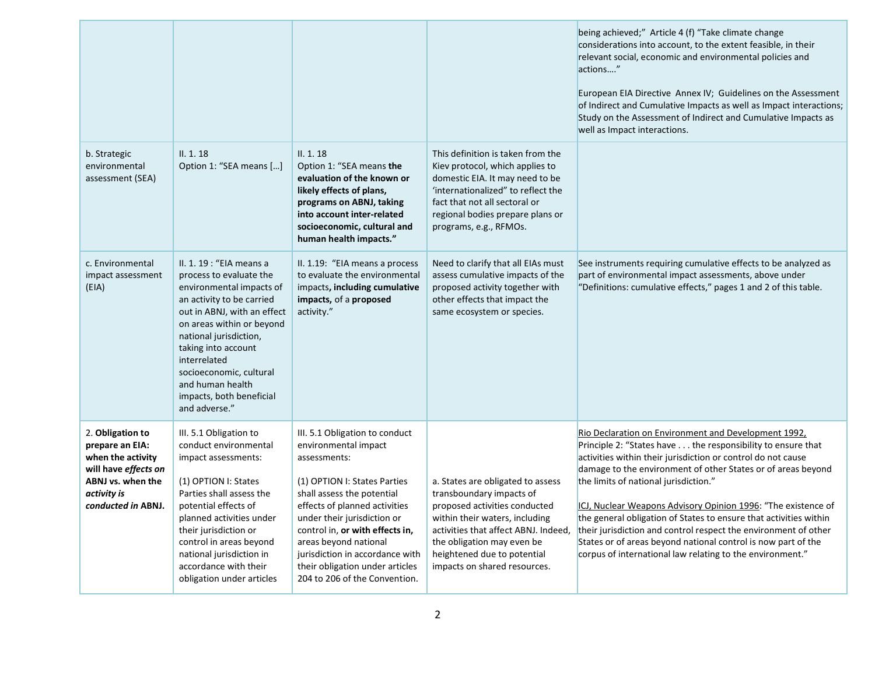|                                                                                                                                            |                                                                                                                                                                                                                                                                                                                                       |                                                                                                                                                                                                                                                                                                                                                                         |                                                                                                                                                                                                                                                                       | being achieved;" Article 4 (f) "Take climate change<br>considerations into account, to the extent feasible, in their<br>relevant social, economic and environmental policies and<br>actions"<br>European EIA Directive Annex IV; Guidelines on the Assessment<br>of Indirect and Cumulative Impacts as well as Impact interactions;<br>Study on the Assessment of Indirect and Cumulative Impacts as<br>well as Impact interactions.                                                                                                                                                                                                |
|--------------------------------------------------------------------------------------------------------------------------------------------|---------------------------------------------------------------------------------------------------------------------------------------------------------------------------------------------------------------------------------------------------------------------------------------------------------------------------------------|-------------------------------------------------------------------------------------------------------------------------------------------------------------------------------------------------------------------------------------------------------------------------------------------------------------------------------------------------------------------------|-----------------------------------------------------------------------------------------------------------------------------------------------------------------------------------------------------------------------------------------------------------------------|-------------------------------------------------------------------------------------------------------------------------------------------------------------------------------------------------------------------------------------------------------------------------------------------------------------------------------------------------------------------------------------------------------------------------------------------------------------------------------------------------------------------------------------------------------------------------------------------------------------------------------------|
| b. Strategic<br>environmental<br>assessment (SEA)                                                                                          | II. 1. 18<br>Option 1: "SEA means []                                                                                                                                                                                                                                                                                                  | II. 1. 18<br>Option 1: "SEA means the<br>evaluation of the known or<br>likely effects of plans,<br>programs on ABNJ, taking<br>into account inter-related<br>socioeconomic, cultural and<br>human health impacts."                                                                                                                                                      | This definition is taken from the<br>Kiev protocol, which applies to<br>domestic EIA. It may need to be<br>'internationalized" to reflect the<br>fact that not all sectoral or<br>regional bodies prepare plans or<br>programs, e.g., RFMOs.                          |                                                                                                                                                                                                                                                                                                                                                                                                                                                                                                                                                                                                                                     |
| c. Environmental<br>impact assessment<br>(EIA)                                                                                             | II. 1. 19 : "EIA means a<br>process to evaluate the<br>environmental impacts of<br>an activity to be carried<br>out in ABNJ, with an effect<br>on areas within or beyond<br>national jurisdiction,<br>taking into account<br>interrelated<br>socioeconomic, cultural<br>and human health<br>impacts, both beneficial<br>and adverse." | II. 1.19: "EIA means a process<br>to evaluate the environmental<br>impacts, including cumulative<br>impacts, of a proposed<br>activity."                                                                                                                                                                                                                                | Need to clarify that all EIAs must<br>assess cumulative impacts of the<br>proposed activity together with<br>other effects that impact the<br>same ecosystem or species.                                                                                              | See instruments requiring cumulative effects to be analyzed as<br>part of environmental impact assessments, above under<br>"Definitions: cumulative effects," pages 1 and 2 of this table.                                                                                                                                                                                                                                                                                                                                                                                                                                          |
| 2. Obligation to<br>prepare an EIA:<br>when the activity<br>will have effects on<br>ABNJ vs. when the<br>activity is<br>conducted in ABNJ. | III. 5.1 Obligation to<br>conduct environmental<br>impact assessments:<br>(1) OPTION I: States<br>Parties shall assess the<br>potential effects of<br>planned activities under<br>their jurisdiction or<br>control in areas beyond<br>national jurisdiction in<br>accordance with their<br>obligation under articles                  | III. 5.1 Obligation to conduct<br>environmental impact<br>assessments:<br>(1) OPTION I: States Parties<br>shall assess the potential<br>effects of planned activities<br>under their jurisdiction or<br>control in, or with effects in,<br>areas beyond national<br>jurisdiction in accordance with<br>their obligation under articles<br>204 to 206 of the Convention. | a. States are obligated to assess<br>transboundary impacts of<br>proposed activities conducted<br>within their waters, including<br>activities that affect ABNJ. Indeed,<br>the obligation may even be<br>heightened due to potential<br>impacts on shared resources. | Rio Declaration on Environment and Development 1992,<br>Principle 2: "States have the responsibility to ensure that<br>activities within their jurisdiction or control do not cause<br>damage to the environment of other States or of areas beyond<br>the limits of national jurisdiction."<br>ICJ, Nuclear Weapons Advisory Opinion 1996: "The existence of<br>the general obligation of States to ensure that activities within<br>their jurisdiction and control respect the environment of other<br>States or of areas beyond national control is now part of the<br>corpus of international law relating to the environment." |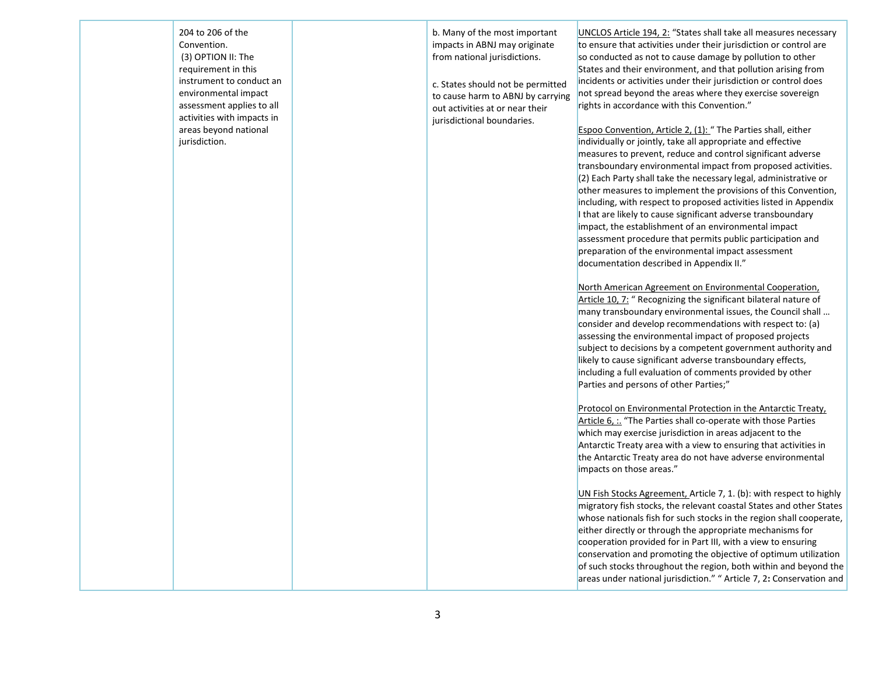| 204 to 206 of the<br>Convention.<br>(3) OPTION II: The<br>requirement in this<br>instrument to conduct an<br>environmental impact<br>assessment applies to all<br>activities with impacts in<br>areas beyond national<br>jurisdiction. | b. Many of the most important<br>impacts in ABNJ may originate<br>from national jurisdictions.<br>c. States should not be permitted<br>to cause harm to ABNJ by carrying<br>out activities at or near their<br>jurisdictional boundaries. | UNCLOS Article 194, 2: "States shall take all measures necessary<br>to ensure that activities under their jurisdiction or control are<br>so conducted as not to cause damage by pollution to other<br>States and their environment, and that pollution arising from<br>incidents or activities under their jurisdiction or control does<br>not spread beyond the areas where they exercise sovereign<br>rights in accordance with this Convention."<br>Espoo Convention, Article 2, (1): " The Parties shall, either<br>individually or jointly, take all appropriate and effective<br>measures to prevent, reduce and control significant adverse<br>transboundary environmental impact from proposed activities.<br>(2) Each Party shall take the necessary legal, administrative or<br>other measures to implement the provisions of this Convention,<br>including, with respect to proposed activities listed in Appendix<br>I that are likely to cause significant adverse transboundary<br>impact, the establishment of an environmental impact<br>assessment procedure that permits public participation and<br>preparation of the environmental impact assessment<br>documentation described in Appendix II."<br>North American Agreement on Environmental Cooperation,<br>Article 10, 7: " Recognizing the significant bilateral nature of<br>many transboundary environmental issues, the Council shall<br>consider and develop recommendations with respect to: (a)<br>assessing the environmental impact of proposed projects<br>subject to decisions by a competent government authority and<br>likely to cause significant adverse transboundary effects,<br>including a full evaluation of comments provided by other<br>Parties and persons of other Parties;"<br>Protocol on Environmental Protection in the Antarctic Treaty,<br>Article 6, :. "The Parties shall co-operate with those Parties<br>which may exercise jurisdiction in areas adjacent to the<br>Antarctic Treaty area with a view to ensuring that activities in<br>the Antarctic Treaty area do not have adverse environmental<br>impacts on those areas."<br>UN Fish Stocks Agreement, Article 7, 1. (b): with respect to highly<br>migratory fish stocks, the relevant coastal States and other States<br>whose nationals fish for such stocks in the region shall cooperate,<br>either directly or through the appropriate mechanisms for<br>cooperation provided for in Part III, with a view to ensuring<br>conservation and promoting the objective of optimum utilization<br>of such stocks throughout the region, both within and beyond the<br>areas under national jurisdiction." " Article 7, 2: Conservation and |
|----------------------------------------------------------------------------------------------------------------------------------------------------------------------------------------------------------------------------------------|-------------------------------------------------------------------------------------------------------------------------------------------------------------------------------------------------------------------------------------------|----------------------------------------------------------------------------------------------------------------------------------------------------------------------------------------------------------------------------------------------------------------------------------------------------------------------------------------------------------------------------------------------------------------------------------------------------------------------------------------------------------------------------------------------------------------------------------------------------------------------------------------------------------------------------------------------------------------------------------------------------------------------------------------------------------------------------------------------------------------------------------------------------------------------------------------------------------------------------------------------------------------------------------------------------------------------------------------------------------------------------------------------------------------------------------------------------------------------------------------------------------------------------------------------------------------------------------------------------------------------------------------------------------------------------------------------------------------------------------------------------------------------------------------------------------------------------------------------------------------------------------------------------------------------------------------------------------------------------------------------------------------------------------------------------------------------------------------------------------------------------------------------------------------------------------------------------------------------------------------------------------------------------------------------------------------------------------------------------------------------------------------------------------------------------------------------------------------------------------------------------------------------------------------------------------------------------------------------------------------------------------------------------------------------------------------------------------------------------------------------------------------------------------------------------------------------------------------------------------------------------------------------------------------------------------------------------------------|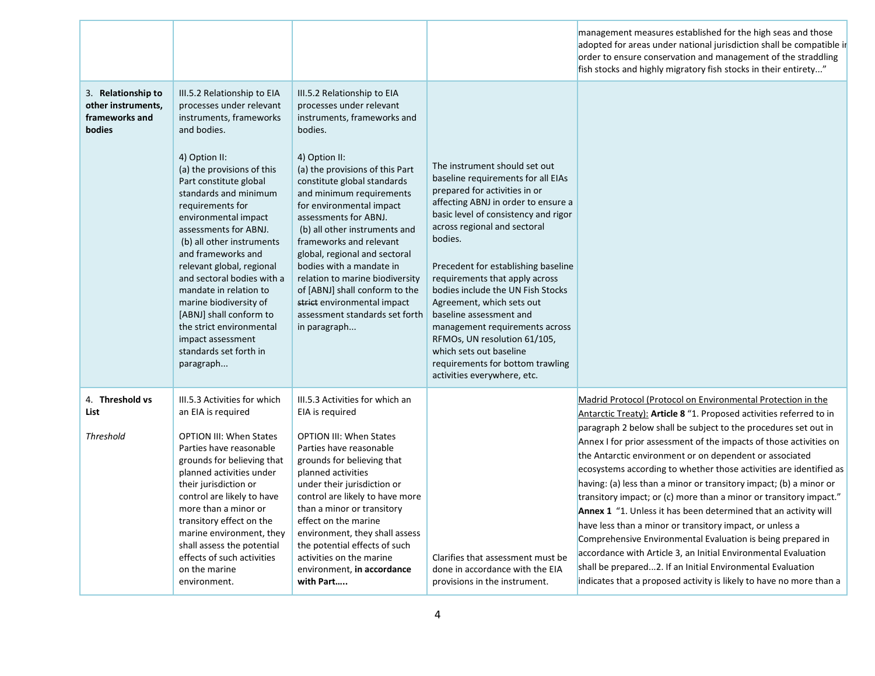|                                                                      |                                                                                                                                                                                                                                                                                                                                                                                                                                                          |                                                                                                                                                                                                                                                                                                                                                                                                                                                 |                                                                                                                                                                                                                                                                                                                                                                                                                                                                                                                                                                      | management measures established for the high seas and those<br>adopted for areas under national jurisdiction shall be compatible ir<br>order to ensure conservation and management of the straddling<br>fish stocks and highly migratory fish stocks in their entirety"                                                                                                                                                                                                                                                                                                                                                                                                                                                                                                                                                                                                                                                                                        |
|----------------------------------------------------------------------|----------------------------------------------------------------------------------------------------------------------------------------------------------------------------------------------------------------------------------------------------------------------------------------------------------------------------------------------------------------------------------------------------------------------------------------------------------|-------------------------------------------------------------------------------------------------------------------------------------------------------------------------------------------------------------------------------------------------------------------------------------------------------------------------------------------------------------------------------------------------------------------------------------------------|----------------------------------------------------------------------------------------------------------------------------------------------------------------------------------------------------------------------------------------------------------------------------------------------------------------------------------------------------------------------------------------------------------------------------------------------------------------------------------------------------------------------------------------------------------------------|----------------------------------------------------------------------------------------------------------------------------------------------------------------------------------------------------------------------------------------------------------------------------------------------------------------------------------------------------------------------------------------------------------------------------------------------------------------------------------------------------------------------------------------------------------------------------------------------------------------------------------------------------------------------------------------------------------------------------------------------------------------------------------------------------------------------------------------------------------------------------------------------------------------------------------------------------------------|
| 3. Relationship to<br>other instruments,<br>frameworks and<br>bodies | III.5.2 Relationship to EIA<br>processes under relevant<br>instruments, frameworks<br>and bodies.                                                                                                                                                                                                                                                                                                                                                        | III.5.2 Relationship to EIA<br>processes under relevant<br>instruments, frameworks and<br>bodies.                                                                                                                                                                                                                                                                                                                                               |                                                                                                                                                                                                                                                                                                                                                                                                                                                                                                                                                                      |                                                                                                                                                                                                                                                                                                                                                                                                                                                                                                                                                                                                                                                                                                                                                                                                                                                                                                                                                                |
|                                                                      | 4) Option II:<br>(a) the provisions of this<br>Part constitute global<br>standards and minimum<br>requirements for<br>environmental impact<br>assessments for ABNJ.<br>(b) all other instruments<br>and frameworks and<br>relevant global, regional<br>and sectoral bodies with a<br>mandate in relation to<br>marine biodiversity of<br>[ABNJ] shall conform to<br>the strict environmental<br>impact assessment<br>standards set forth in<br>paragraph | 4) Option II:<br>(a) the provisions of this Part<br>constitute global standards<br>and minimum requirements<br>for environmental impact<br>assessments for ABNJ.<br>(b) all other instruments and<br>frameworks and relevant<br>global, regional and sectoral<br>bodies with a mandate in<br>relation to marine biodiversity<br>of [ABNJ] shall conform to the<br>strict environmental impact<br>assessment standards set forth<br>in paragraph | The instrument should set out<br>baseline requirements for all EIAs<br>prepared for activities in or<br>affecting ABNJ in order to ensure a<br>basic level of consistency and rigor<br>across regional and sectoral<br>bodies.<br>Precedent for establishing baseline<br>requirements that apply across<br>bodies include the UN Fish Stocks<br>Agreement, which sets out<br>baseline assessment and<br>management requirements across<br>RFMOs, UN resolution 61/105,<br>which sets out baseline<br>requirements for bottom trawling<br>activities everywhere, etc. |                                                                                                                                                                                                                                                                                                                                                                                                                                                                                                                                                                                                                                                                                                                                                                                                                                                                                                                                                                |
| 4. Threshold vs<br>List<br><b>Threshold</b>                          | III.5.3 Activities for which<br>an EIA is required<br><b>OPTION III: When States</b><br>Parties have reasonable<br>grounds for believing that<br>planned activities under<br>their jurisdiction or<br>control are likely to have<br>more than a minor or<br>transitory effect on the<br>marine environment, they<br>shall assess the potential<br>effects of such activities<br>on the marine<br>environment.                                            | III.5.3 Activities for which an<br>EIA is required<br><b>OPTION III: When States</b><br>Parties have reasonable<br>grounds for believing that<br>planned activities<br>under their jurisdiction or<br>control are likely to have more<br>than a minor or transitory<br>effect on the marine<br>environment, they shall assess<br>the potential effects of such<br>activities on the marine<br>environment, in accordance<br>with Part           | Clarifies that assessment must be<br>done in accordance with the EIA<br>provisions in the instrument.                                                                                                                                                                                                                                                                                                                                                                                                                                                                | Madrid Protocol (Protocol on Environmental Protection in the<br>Antarctic Treaty): Article 8 "1. Proposed activities referred to in<br>paragraph 2 below shall be subject to the procedures set out in<br>Annex I for prior assessment of the impacts of those activities on<br>the Antarctic environment or on dependent or associated<br>ecosystems according to whether those activities are identified as<br>having: (a) less than a minor or transitory impact; (b) a minor or<br>transitory impact; or (c) more than a minor or transitory impact."<br>Annex 1 "1. Unless it has been determined that an activity will<br>have less than a minor or transitory impact, or unless a<br>Comprehensive Environmental Evaluation is being prepared in<br>accordance with Article 3, an Initial Environmental Evaluation<br>shall be prepared2. If an Initial Environmental Evaluation<br>indicates that a proposed activity is likely to have no more than a |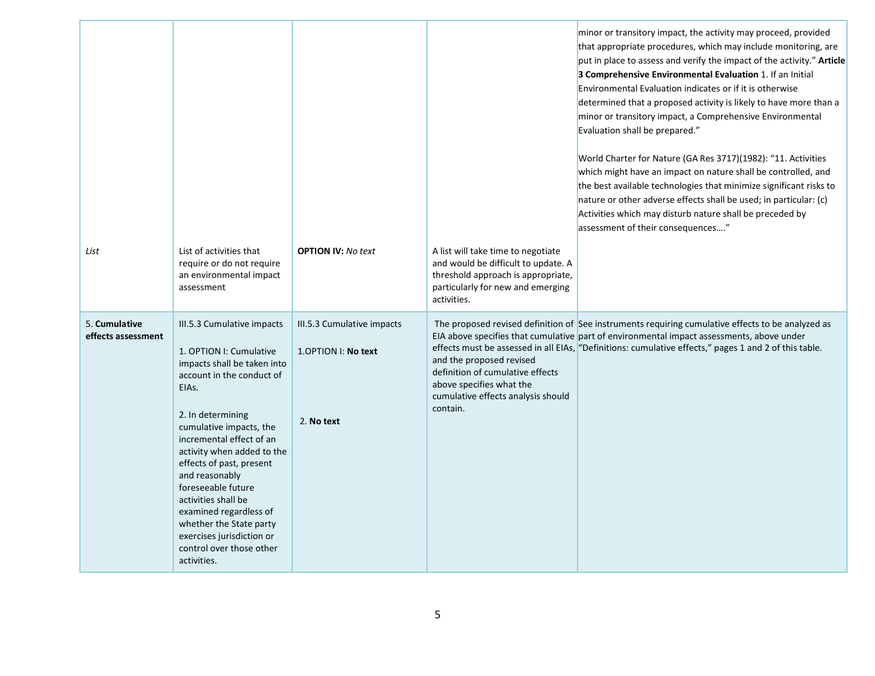|                                     |                                                                                                                                                                                                                                                                                                                                                                                                                                                              |                                                                 |                                                                                                                                                                     | minor or transitory impact, the activity may proceed, provided<br>that appropriate procedures, which may include monitoring, are<br>put in place to assess and verify the impact of the activity." <b>Article</b><br>3 Comprehensive Environmental Evaluation 1. If an Initial<br>Environmental Evaluation indicates or if it is otherwise<br>determined that a proposed activity is likely to have more than a<br>minor or transitory impact, a Comprehensive Environmental<br>Evaluation shall be prepared."<br>World Charter for Nature (GA Res 3717)(1982): "11. Activities<br>which might have an impact on nature shall be controlled, and<br>the best available technologies that minimize significant risks to<br>nature or other adverse effects shall be used; in particular: (c)<br>Activities which may disturb nature shall be preceded by<br>assessment of their consequences" |
|-------------------------------------|--------------------------------------------------------------------------------------------------------------------------------------------------------------------------------------------------------------------------------------------------------------------------------------------------------------------------------------------------------------------------------------------------------------------------------------------------------------|-----------------------------------------------------------------|---------------------------------------------------------------------------------------------------------------------------------------------------------------------|----------------------------------------------------------------------------------------------------------------------------------------------------------------------------------------------------------------------------------------------------------------------------------------------------------------------------------------------------------------------------------------------------------------------------------------------------------------------------------------------------------------------------------------------------------------------------------------------------------------------------------------------------------------------------------------------------------------------------------------------------------------------------------------------------------------------------------------------------------------------------------------------|
| List                                | List of activities that<br>require or do not require<br>an environmental impact<br>assessment                                                                                                                                                                                                                                                                                                                                                                | <b>OPTION IV: No text</b>                                       | A list will take time to negotiate<br>and would be difficult to update. A<br>threshold approach is appropriate,<br>particularly for new and emerging<br>activities. |                                                                                                                                                                                                                                                                                                                                                                                                                                                                                                                                                                                                                                                                                                                                                                                                                                                                                              |
| 5. Cumulative<br>effects assessment | III.5.3 Cumulative impacts<br>1. OPTION I: Cumulative<br>impacts shall be taken into<br>account in the conduct of<br>EIAs.<br>2. In determining<br>cumulative impacts, the<br>incremental effect of an<br>activity when added to the<br>effects of past, present<br>and reasonably<br>foreseeable future<br>activities shall be<br>examined regardless of<br>whether the State party<br>exercises jurisdiction or<br>control over those other<br>activities. | III.5.3 Cumulative impacts<br>1.OPTION I: No text<br>2. No text | and the proposed revised<br>definition of cumulative effects<br>above specifies what the<br>cumulative effects analysis should<br>contain.                          | The proposed revised definition of See instruments requiring cumulative effects to be analyzed as<br>EIA above specifies that cumulative part of environmental impact assessments, above under<br>effects must be assessed in all EIAs, "Definitions: cumulative effects," pages 1 and 2 of this table.                                                                                                                                                                                                                                                                                                                                                                                                                                                                                                                                                                                      |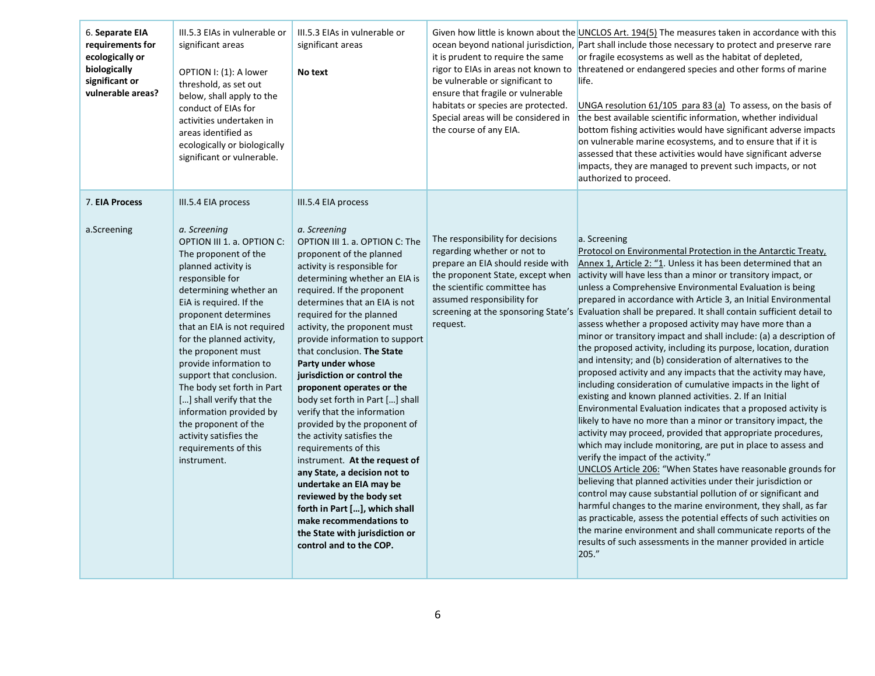| 6. Separate EIA<br>requirements for<br>ecologically or<br>biologically<br>significant or<br>vulnerable areas? | III.5.3 EIAs in vulnerable or<br>significant areas<br>OPTION I: (1): A lower<br>threshold, as set out<br>below, shall apply to the<br>conduct of EIAs for<br>activities undertaken in<br>areas identified as<br>ecologically or biologically<br>significant or vulnerable.                                                                                                                                                                                                                                                             | III.5.3 EIAs in vulnerable or<br>significant areas<br>No text                                                                                                                                                                                                                                                                                                                                                                                                                                                                                                                                                                                                                                                                                                                                                                                          | it is prudent to require the same<br>rigor to EIAs in areas not known to<br>be vulnerable or significant to<br>ensure that fragile or vulnerable<br>habitats or species are protected.<br>Special areas will be considered in<br>the course of any EIA. | Given how little is known about the <b>UNCLOS</b> Art. 194(5) The measures taken in accordance with this<br>ocean beyond national jurisdiction, Part shall include those necessary to protect and preserve rare<br>or fragile ecosystems as well as the habitat of depleted,<br>threatened or endangered species and other forms of marine<br>life.<br>UNGA resolution 61/105 para 83 (a) To assess, on the basis of<br>the best available scientific information, whether individual<br>bottom fishing activities would have significant adverse impacts<br>on vulnerable marine ecosystems, and to ensure that if it is<br>assessed that these activities would have significant adverse<br>impacts, they are managed to prevent such impacts, or not<br>authorized to proceed.                                                                                                                                                                                                                                                                                                                                                                                                                                                                                                                                                                                                                                                                                                                                                                                                                                                                                                                                     |
|---------------------------------------------------------------------------------------------------------------|----------------------------------------------------------------------------------------------------------------------------------------------------------------------------------------------------------------------------------------------------------------------------------------------------------------------------------------------------------------------------------------------------------------------------------------------------------------------------------------------------------------------------------------|--------------------------------------------------------------------------------------------------------------------------------------------------------------------------------------------------------------------------------------------------------------------------------------------------------------------------------------------------------------------------------------------------------------------------------------------------------------------------------------------------------------------------------------------------------------------------------------------------------------------------------------------------------------------------------------------------------------------------------------------------------------------------------------------------------------------------------------------------------|---------------------------------------------------------------------------------------------------------------------------------------------------------------------------------------------------------------------------------------------------------|-----------------------------------------------------------------------------------------------------------------------------------------------------------------------------------------------------------------------------------------------------------------------------------------------------------------------------------------------------------------------------------------------------------------------------------------------------------------------------------------------------------------------------------------------------------------------------------------------------------------------------------------------------------------------------------------------------------------------------------------------------------------------------------------------------------------------------------------------------------------------------------------------------------------------------------------------------------------------------------------------------------------------------------------------------------------------------------------------------------------------------------------------------------------------------------------------------------------------------------------------------------------------------------------------------------------------------------------------------------------------------------------------------------------------------------------------------------------------------------------------------------------------------------------------------------------------------------------------------------------------------------------------------------------------------------------------------------------------|
| 7. EIA Process<br>a.Screening                                                                                 | III.5.4 EIA process<br>a. Screening<br>OPTION III 1. a. OPTION C:<br>The proponent of the<br>planned activity is<br>responsible for<br>determining whether an<br>EiA is required. If the<br>proponent determines<br>that an EIA is not required<br>for the planned activity,<br>the proponent must<br>provide information to<br>support that conclusion.<br>The body set forth in Part<br>[] shall verify that the<br>information provided by<br>the proponent of the<br>activity satisfies the<br>requirements of this<br>instrument. | III.5.4 EIA process<br>a. Screening<br>OPTION III 1. a. OPTION C: The<br>proponent of the planned<br>activity is responsible for<br>determining whether an EIA is<br>required. If the proponent<br>determines that an EIA is not<br>required for the planned<br>activity, the proponent must<br>provide information to support<br>that conclusion. The State<br>Party under whose<br>jurisdiction or control the<br>proponent operates or the<br>body set forth in Part [] shall<br>verify that the information<br>provided by the proponent of<br>the activity satisfies the<br>requirements of this<br>instrument. At the request of<br>any State, a decision not to<br>undertake an EIA may be<br>reviewed by the body set<br>forth in Part [], which shall<br>make recommendations to<br>the State with jurisdiction or<br>control and to the COP. | The responsibility for decisions<br>regarding whether or not to<br>prepare an EIA should reside with<br>the proponent State, except when<br>the scientific committee has<br>assumed responsibility for<br>request.                                      | a. Screening<br>Protocol on Environmental Protection in the Antarctic Treaty,<br>Annex 1, Article 2: "1. Unless it has been determined that an<br>activity will have less than a minor or transitory impact, or<br>unless a Comprehensive Environmental Evaluation is being<br>prepared in accordance with Article 3, an Initial Environmental<br>screening at the sponsoring State's Evaluation shall be prepared. It shall contain sufficient detail to<br>assess whether a proposed activity may have more than a<br>minor or transitory impact and shall include: (a) a description of<br>the proposed activity, including its purpose, location, duration<br>and intensity; and (b) consideration of alternatives to the<br>proposed activity and any impacts that the activity may have,<br>including consideration of cumulative impacts in the light of<br>existing and known planned activities. 2. If an Initial<br>Environmental Evaluation indicates that a proposed activity is<br>likely to have no more than a minor or transitory impact, the<br>activity may proceed, provided that appropriate procedures,<br>which may include monitoring, are put in place to assess and<br>verify the impact of the activity."<br>UNCLOS Article 206: "When States have reasonable grounds for<br>believing that planned activities under their jurisdiction or<br>control may cause substantial pollution of or significant and<br>harmful changes to the marine environment, they shall, as far<br>as practicable, assess the potential effects of such activities on<br>the marine environment and shall communicate reports of the<br>results of such assessments in the manner provided in article<br>205." |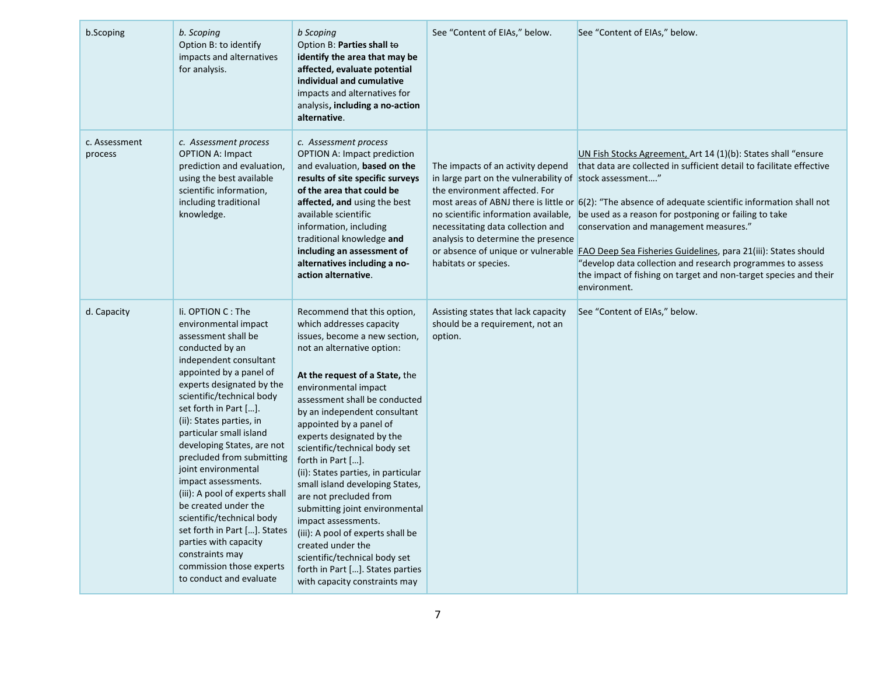| b.Scoping                | b. Scoping<br>Option B: to identify<br>impacts and alternatives<br>for analysis.                                                                                                                                                                                                                                                                                                                                                                                                                                                                                                                                      | b Scoping<br>Option B: Parties shall to<br>identify the area that may be<br>affected, evaluate potential<br>individual and cumulative<br>impacts and alternatives for<br>analysis, including a no-action<br>alternative.                                                                                                                                                                                                                                                                                                                                                                                                                                                                     | See "Content of EIAs," below.                                                                                                                                                                                                                                            | See "Content of EIAs," below.                                                                                                                                                                                                                                                                                                                                                                                                                                                                                                                                                                                       |
|--------------------------|-----------------------------------------------------------------------------------------------------------------------------------------------------------------------------------------------------------------------------------------------------------------------------------------------------------------------------------------------------------------------------------------------------------------------------------------------------------------------------------------------------------------------------------------------------------------------------------------------------------------------|----------------------------------------------------------------------------------------------------------------------------------------------------------------------------------------------------------------------------------------------------------------------------------------------------------------------------------------------------------------------------------------------------------------------------------------------------------------------------------------------------------------------------------------------------------------------------------------------------------------------------------------------------------------------------------------------|--------------------------------------------------------------------------------------------------------------------------------------------------------------------------------------------------------------------------------------------------------------------------|---------------------------------------------------------------------------------------------------------------------------------------------------------------------------------------------------------------------------------------------------------------------------------------------------------------------------------------------------------------------------------------------------------------------------------------------------------------------------------------------------------------------------------------------------------------------------------------------------------------------|
| c. Assessment<br>process | c. Assessment process<br><b>OPTION A: Impact</b><br>prediction and evaluation,<br>using the best available<br>scientific information,<br>including traditional<br>knowledge.                                                                                                                                                                                                                                                                                                                                                                                                                                          | c. Assessment process<br><b>OPTION A: Impact prediction</b><br>and evaluation, based on the<br>results of site specific surveys<br>of the area that could be<br>affected, and using the best<br>available scientific<br>information, including<br>traditional knowledge and<br>including an assessment of<br>alternatives including a no-<br>action alternative.                                                                                                                                                                                                                                                                                                                             | The impacts of an activity depend<br>in large part on the vulnerability of stock assessment"<br>the environment affected. For<br>no scientific information available,<br>necessitating data collection and<br>analysis to determine the presence<br>habitats or species. | UN Fish Stocks Agreement, Art 14 (1)(b): States shall "ensure<br>that data are collected in sufficient detail to facilitate effective<br>most areas of ABNJ there is little or $6(2)$ : "The absence of adequate scientific information shall not<br>be used as a reason for postponing or failing to take<br>conservation and management measures."<br>or absence of unique or vulnerable <b>FAO Deep Sea Fisheries Guidelines</b> , para 21(iii): States should<br>"develop data collection and research programmes to assess<br>the impact of fishing on target and non-target species and their<br>environment. |
| d. Capacity              | Ii. OPTION C: The<br>environmental impact<br>assessment shall be<br>conducted by an<br>independent consultant<br>appointed by a panel of<br>experts designated by the<br>scientific/technical body<br>set forth in Part [].<br>(ii): States parties, in<br>particular small island<br>developing States, are not<br>precluded from submitting<br>joint environmental<br>impact assessments.<br>(iii): A pool of experts shall<br>be created under the<br>scientific/technical body<br>set forth in Part []. States<br>parties with capacity<br>constraints may<br>commission those experts<br>to conduct and evaluate | Recommend that this option,<br>which addresses capacity<br>issues, become a new section,<br>not an alternative option:<br>At the request of a State, the<br>environmental impact<br>assessment shall be conducted<br>by an independent consultant<br>appointed by a panel of<br>experts designated by the<br>scientific/technical body set<br>forth in Part [].<br>(ii): States parties, in particular<br>small island developing States,<br>are not precluded from<br>submitting joint environmental<br>impact assessments.<br>(iii): A pool of experts shall be<br>created under the<br>scientific/technical body set<br>forth in Part []. States parties<br>with capacity constraints may | Assisting states that lack capacity<br>should be a requirement, not an<br>option.                                                                                                                                                                                        | See "Content of EIAs," below.                                                                                                                                                                                                                                                                                                                                                                                                                                                                                                                                                                                       |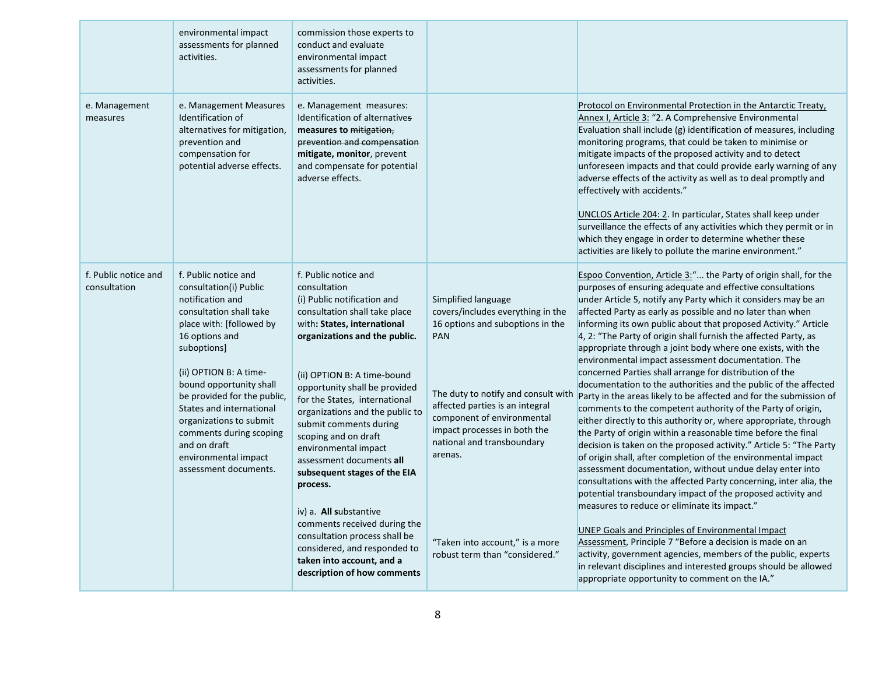|                                      | environmental impact<br>assessments for planned<br>activities.                                                                                                                                                                                                                                                                                                                                    | commission those experts to<br>conduct and evaluate<br>environmental impact<br>assessments for planned<br>activities.                                                                                                                                                                                                                                                                                                                                                                                                                                                                                                                             |                                                                                                                                                                                                                                                                                                                                                           |                                                                                                                                                                                                                                                                                                                                                                                                                                                                                                                                                                                                                                                                                                                                                                                                                                                                                                                                                                                                                                                                                                                                                                                                                                                                                                                                                                                                                                                                                                                                                                                                                                |
|--------------------------------------|---------------------------------------------------------------------------------------------------------------------------------------------------------------------------------------------------------------------------------------------------------------------------------------------------------------------------------------------------------------------------------------------------|---------------------------------------------------------------------------------------------------------------------------------------------------------------------------------------------------------------------------------------------------------------------------------------------------------------------------------------------------------------------------------------------------------------------------------------------------------------------------------------------------------------------------------------------------------------------------------------------------------------------------------------------------|-----------------------------------------------------------------------------------------------------------------------------------------------------------------------------------------------------------------------------------------------------------------------------------------------------------------------------------------------------------|--------------------------------------------------------------------------------------------------------------------------------------------------------------------------------------------------------------------------------------------------------------------------------------------------------------------------------------------------------------------------------------------------------------------------------------------------------------------------------------------------------------------------------------------------------------------------------------------------------------------------------------------------------------------------------------------------------------------------------------------------------------------------------------------------------------------------------------------------------------------------------------------------------------------------------------------------------------------------------------------------------------------------------------------------------------------------------------------------------------------------------------------------------------------------------------------------------------------------------------------------------------------------------------------------------------------------------------------------------------------------------------------------------------------------------------------------------------------------------------------------------------------------------------------------------------------------------------------------------------------------------|
| e. Management<br>measures            | e. Management Measures<br>Identification of<br>alternatives for mitigation,<br>prevention and<br>compensation for<br>potential adverse effects.                                                                                                                                                                                                                                                   | e. Management measures:<br>Identification of alternatives<br>measures to mitigation,<br>prevention and compensation<br>mitigate, monitor, prevent<br>and compensate for potential<br>adverse effects.                                                                                                                                                                                                                                                                                                                                                                                                                                             |                                                                                                                                                                                                                                                                                                                                                           | Protocol on Environmental Protection in the Antarctic Treaty,<br>Annex I, Article 3: "2. A Comprehensive Environmental<br>Evaluation shall include (g) identification of measures, including<br>monitoring programs, that could be taken to minimise or<br>mitigate impacts of the proposed activity and to detect<br>unforeseen impacts and that could provide early warning of any<br>adverse effects of the activity as well as to deal promptly and<br>effectively with accidents."<br>UNCLOS Article 204: 2. In particular, States shall keep under<br>surveillance the effects of any activities which they permit or in<br>which they engage in order to determine whether these<br>activities are likely to pollute the marine environment."                                                                                                                                                                                                                                                                                                                                                                                                                                                                                                                                                                                                                                                                                                                                                                                                                                                                           |
| f. Public notice and<br>consultation | f. Public notice and<br>consultation(i) Public<br>notification and<br>consultation shall take<br>place with: [followed by<br>16 options and<br>suboptions]<br>(ii) OPTION B: A time-<br>bound opportunity shall<br>be provided for the public,<br>States and international<br>organizations to submit<br>comments during scoping<br>and on draft<br>environmental impact<br>assessment documents. | f. Public notice and<br>consultation<br>(i) Public notification and<br>consultation shall take place<br>with: States, international<br>organizations and the public.<br>(ii) OPTION B: A time-bound<br>opportunity shall be provided<br>for the States, international<br>organizations and the public to<br>submit comments during<br>scoping and on draft<br>environmental impact<br>assessment documents all<br>subsequent stages of the EIA<br>process.<br>iv) a. All substantive<br>comments received during the<br>consultation process shall be<br>considered, and responded to<br>taken into account, and a<br>description of how comments | Simplified language<br>covers/includes everything in the<br>16 options and suboptions in the<br>PAN<br>The duty to notify and consult with<br>affected parties is an integral<br>component of environmental<br>impact processes in both the<br>national and transboundary<br>arenas.<br>"Taken into account," is a more<br>robust term than "considered." | Espoo Convention, Article 3:" the Party of origin shall, for the<br>purposes of ensuring adequate and effective consultations<br>under Article 5, notify any Party which it considers may be an<br>affected Party as early as possible and no later than when<br>informing its own public about that proposed Activity." Article<br>4, 2: "The Party of origin shall furnish the affected Party, as<br>appropriate through a joint body where one exists, with the<br>environmental impact assessment documentation. The<br>concerned Parties shall arrange for distribution of the<br>documentation to the authorities and the public of the affected<br>Party in the areas likely to be affected and for the submission of<br>comments to the competent authority of the Party of origin,<br>either directly to this authority or, where appropriate, through<br>the Party of origin within a reasonable time before the final<br>decision is taken on the proposed activity." Article 5: "The Party<br>of origin shall, after completion of the environmental impact<br>assessment documentation, without undue delay enter into<br>consultations with the affected Party concerning, inter alia, the<br>potential transboundary impact of the proposed activity and<br>measures to reduce or eliminate its impact."<br>UNEP Goals and Principles of Environmental Impact<br>Assessment, Principle 7 "Before a decision is made on an<br>activity, government agencies, members of the public, experts<br>in relevant disciplines and interested groups should be allowed<br>appropriate opportunity to comment on the IA." |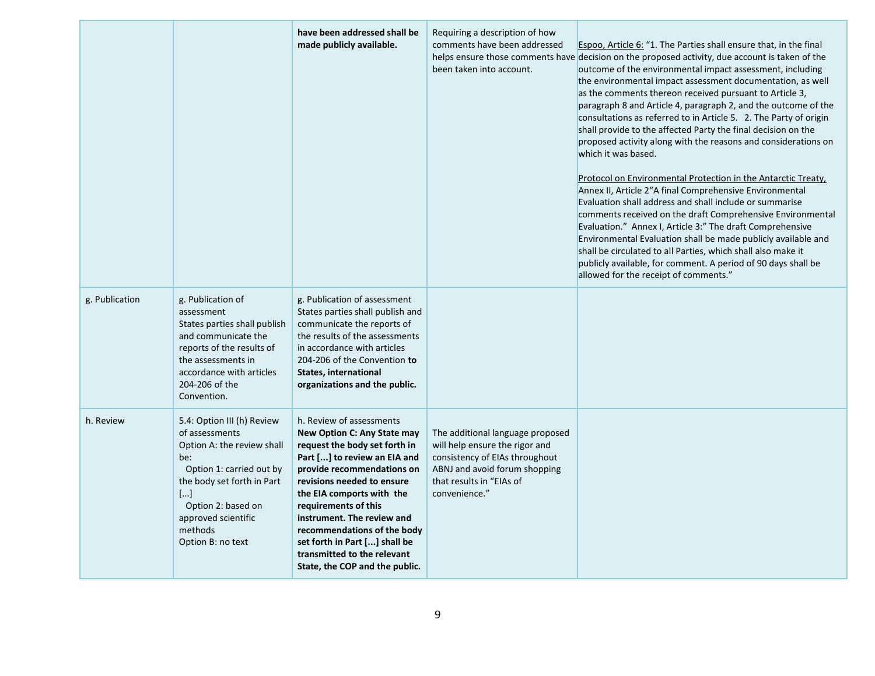|                |                                                                                                                                                                                                                                  | have been addressed shall be<br>made publicly available.                                                                                                                                                                                                                                                                                                                                                 | Requiring a description of how<br>comments have been addressed<br>been taken into account.                                                                                         | <b>Espoo, Article 6: "1. The Parties shall ensure that, in the final</b><br>helps ensure those comments have decision on the proposed activity, due account is taken of the<br>outcome of the environmental impact assessment, including<br>the environmental impact assessment documentation, as well<br>as the comments thereon received pursuant to Article 3,<br>paragraph 8 and Article 4, paragraph 2, and the outcome of the<br>consultations as referred to in Article 5. 2. The Party of origin<br>shall provide to the affected Party the final decision on the<br>proposed activity along with the reasons and considerations on<br>which it was based.<br>Protocol on Environmental Protection in the Antarctic Treaty,<br>Annex II, Article 2"A final Comprehensive Environmental<br>Evaluation shall address and shall include or summarise<br>comments received on the draft Comprehensive Environmental<br>Evaluation." Annex I, Article 3:" The draft Comprehensive<br>Environmental Evaluation shall be made publicly available and<br>shall be circulated to all Parties, which shall also make it<br>publicly available, for comment. A period of 90 days shall be<br>allowed for the receipt of comments." |
|----------------|----------------------------------------------------------------------------------------------------------------------------------------------------------------------------------------------------------------------------------|----------------------------------------------------------------------------------------------------------------------------------------------------------------------------------------------------------------------------------------------------------------------------------------------------------------------------------------------------------------------------------------------------------|------------------------------------------------------------------------------------------------------------------------------------------------------------------------------------|---------------------------------------------------------------------------------------------------------------------------------------------------------------------------------------------------------------------------------------------------------------------------------------------------------------------------------------------------------------------------------------------------------------------------------------------------------------------------------------------------------------------------------------------------------------------------------------------------------------------------------------------------------------------------------------------------------------------------------------------------------------------------------------------------------------------------------------------------------------------------------------------------------------------------------------------------------------------------------------------------------------------------------------------------------------------------------------------------------------------------------------------------------------------------------------------------------------------------------|
| g. Publication | g. Publication of<br>assessment<br>States parties shall publish<br>and communicate the<br>reports of the results of<br>the assessments in<br>accordance with articles<br>204-206 of the<br>Convention.                           | g. Publication of assessment<br>States parties shall publish and<br>communicate the reports of<br>the results of the assessments<br>in accordance with articles<br>204-206 of the Convention to<br>States, international<br>organizations and the public.                                                                                                                                                |                                                                                                                                                                                    |                                                                                                                                                                                                                                                                                                                                                                                                                                                                                                                                                                                                                                                                                                                                                                                                                                                                                                                                                                                                                                                                                                                                                                                                                                 |
| h. Review      | 5.4: Option III (h) Review<br>of assessments<br>Option A: the review shall<br>be:<br>Option 1: carried out by<br>the body set forth in Part<br>$[]$<br>Option 2: based on<br>approved scientific<br>methods<br>Option B: no text | h. Review of assessments<br>New Option C: Any State may<br>request the body set forth in<br>Part [] to review an EIA and<br>provide recommendations on<br>revisions needed to ensure<br>the EIA comports with the<br>requirements of this<br>instrument. The review and<br>recommendations of the body<br>set forth in Part [] shall be<br>transmitted to the relevant<br>State, the COP and the public. | The additional language proposed<br>will help ensure the rigor and<br>consistency of EIAs throughout<br>ABNJ and avoid forum shopping<br>that results in "EIAs of<br>convenience." |                                                                                                                                                                                                                                                                                                                                                                                                                                                                                                                                                                                                                                                                                                                                                                                                                                                                                                                                                                                                                                                                                                                                                                                                                                 |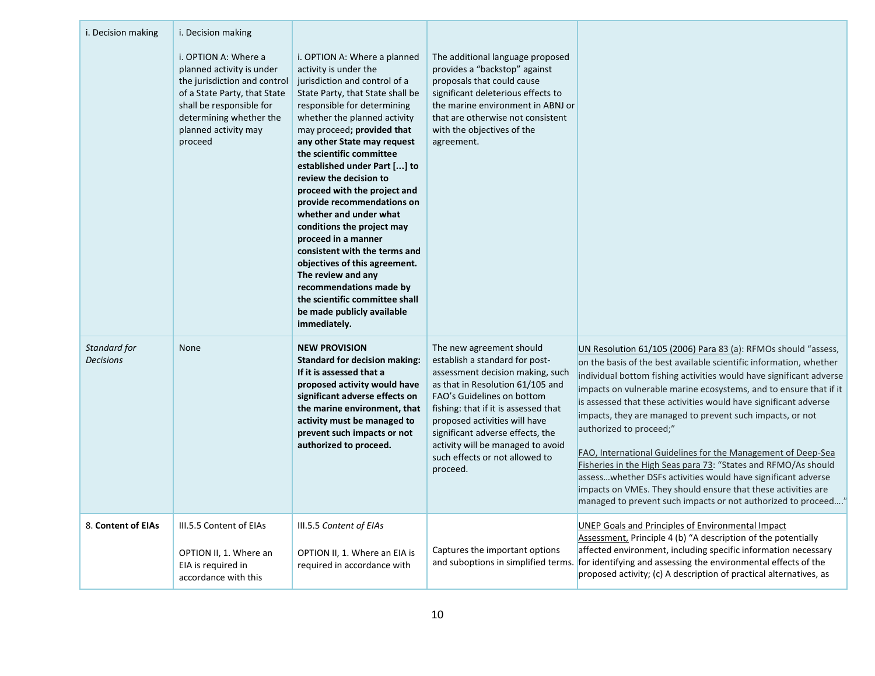| i. Decision making               | i. Decision making                                                                                                                                                                                          |                                                                                                                                                                                                                                                                                                                                                                                                                                                                                                                                                                                                                                                                                              |                                                                                                                                                                                                                                                                                                                                                                  |                                                                                                                                                                                                                                                                                                                                                                                                                                                                                                                                                                                                                                                                                                                                                                                  |
|----------------------------------|-------------------------------------------------------------------------------------------------------------------------------------------------------------------------------------------------------------|----------------------------------------------------------------------------------------------------------------------------------------------------------------------------------------------------------------------------------------------------------------------------------------------------------------------------------------------------------------------------------------------------------------------------------------------------------------------------------------------------------------------------------------------------------------------------------------------------------------------------------------------------------------------------------------------|------------------------------------------------------------------------------------------------------------------------------------------------------------------------------------------------------------------------------------------------------------------------------------------------------------------------------------------------------------------|----------------------------------------------------------------------------------------------------------------------------------------------------------------------------------------------------------------------------------------------------------------------------------------------------------------------------------------------------------------------------------------------------------------------------------------------------------------------------------------------------------------------------------------------------------------------------------------------------------------------------------------------------------------------------------------------------------------------------------------------------------------------------------|
|                                  | i. OPTION A: Where a<br>planned activity is under<br>the jurisdiction and control<br>of a State Party, that State<br>shall be responsible for<br>determining whether the<br>planned activity may<br>proceed | i. OPTION A: Where a planned<br>activity is under the<br>jurisdiction and control of a<br>State Party, that State shall be<br>responsible for determining<br>whether the planned activity<br>may proceed; provided that<br>any other State may request<br>the scientific committee<br>established under Part [] to<br>review the decision to<br>proceed with the project and<br>provide recommendations on<br>whether and under what<br>conditions the project may<br>proceed in a manner<br>consistent with the terms and<br>objectives of this agreement.<br>The review and any<br>recommendations made by<br>the scientific committee shall<br>be made publicly available<br>immediately. | The additional language proposed<br>provides a "backstop" against<br>proposals that could cause<br>significant deleterious effects to<br>the marine environment in ABNJ or<br>that are otherwise not consistent<br>with the objectives of the<br>agreement.                                                                                                      |                                                                                                                                                                                                                                                                                                                                                                                                                                                                                                                                                                                                                                                                                                                                                                                  |
| Standard for<br><b>Decisions</b> | <b>None</b>                                                                                                                                                                                                 | <b>NEW PROVISION</b><br><b>Standard for decision making:</b><br>If it is assessed that a<br>proposed activity would have<br>significant adverse effects on<br>the marine environment, that<br>activity must be managed to<br>prevent such impacts or not<br>authorized to proceed.                                                                                                                                                                                                                                                                                                                                                                                                           | The new agreement should<br>establish a standard for post-<br>assessment decision making, such<br>as that in Resolution 61/105 and<br>FAO's Guidelines on bottom<br>fishing: that if it is assessed that<br>proposed activities will have<br>significant adverse effects, the<br>activity will be managed to avoid<br>such effects or not allowed to<br>proceed. | UN Resolution 61/105 (2006) Para 83 (a): RFMOs should "assess,<br>on the basis of the best available scientific information, whether<br>individual bottom fishing activities would have significant adverse<br>impacts on vulnerable marine ecosystems, and to ensure that if it<br>is assessed that these activities would have significant adverse<br>impacts, they are managed to prevent such impacts, or not<br>authorized to proceed;"<br>FAO, International Guidelines for the Management of Deep-Sea<br>Fisheries in the High Seas para 73: "States and RFMO/As should<br>assesswhether DSFs activities would have significant adverse<br>impacts on VMEs. They should ensure that these activities are<br>managed to prevent such impacts or not authorized to proceed' |
| 8. Content of EIAs               | III.5.5 Content of EIAs<br>OPTION II, 1. Where an<br>EIA is required in<br>accordance with this                                                                                                             | III.5.5 Content of EIAs<br>OPTION II, 1. Where an EIA is<br>required in accordance with                                                                                                                                                                                                                                                                                                                                                                                                                                                                                                                                                                                                      | Captures the important options                                                                                                                                                                                                                                                                                                                                   | UNEP Goals and Principles of Environmental Impact<br>Assessment, Principle 4 (b) "A description of the potentially<br>affected environment, including specific information necessary<br>and suboptions in simplified terms. for identifying and assessing the environmental effects of the<br>proposed activity; (c) A description of practical alternatives, as                                                                                                                                                                                                                                                                                                                                                                                                                 |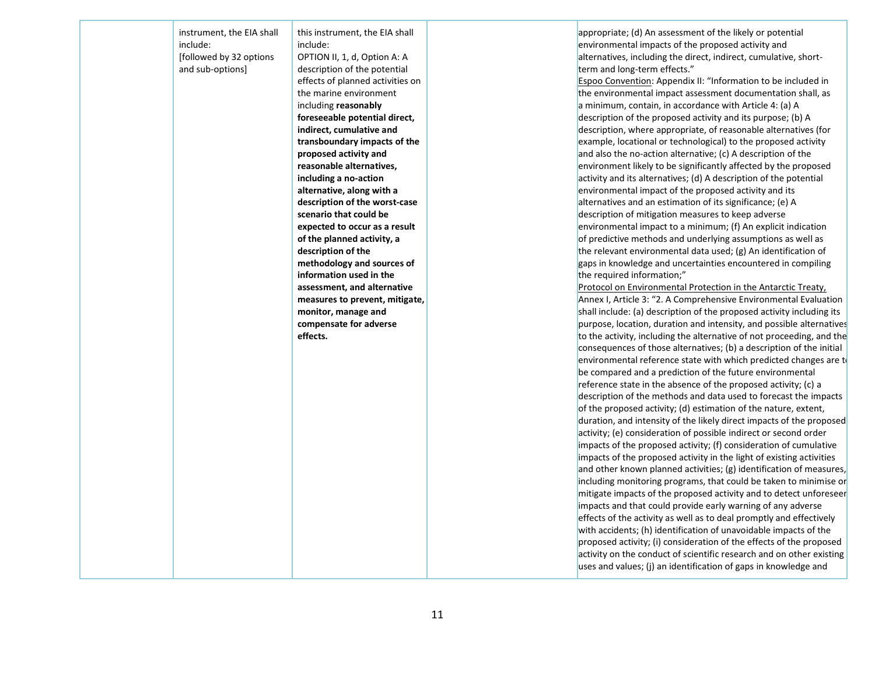instrument, the EIA shall include: [followed by 32 options and sub-options]

this instrument, the EIA shall include: OPTION II, 1, d, Option A: A description of the potential effects of planned activities on the marine environment including **reasonably foreseeable potential direct, indirect, cumulative and transboundary impacts of the proposed activity and reasonable alternatives, including a no-action alternative, along with a description of the worst-case scenario that could be expected to occur as a result of the planned activity, a description of the methodology and sources of information used in the assessment, and alternative measures to prevent, mitigate, monitor, manage and compensate for adverse effects.**

appropriate; (d) An assessment of the likely or potential environmental impacts of the proposed activity and alternatives, including the direct, indirect, cumulative, shortterm and long-term effects."

Espoo Convention: Appendix II: "Information to be included in the environmental impact assessment documentation shall, as a minimum, contain, in accordance with Article 4: (a) A description of the proposed activity and its purpose; (b) A description, where appropriate, of reasonable alternatives (for example, locational or technological) to the proposed activity and also the no-action alternative; (c) A description of the environment likely to be significantly affected by the proposed activity and its alternatives; (d) A description of the potential environmental impact of the proposed activity and its alternatives and an estimation of its significance; (e) A description of mitigation measures to keep adverse environmental impact to a minimum; (f) An explicit indication of predictive methods and underlying assumptions as well as the relevant environmental data used; (g) An identification of gaps in knowledge and uncertainties encountered in compiling the required information;" Protocol on Environmental Protection in the Antarctic Treaty,

Annex I, Article 3: "2. A Comprehensive Environmental Evaluation shall include: (a) description of the proposed activity including its purpose, location, duration and intensity, and possible alternatives to the activity, including the alternative of not proceeding, and the consequences of those alternatives; (b) a description of the initial environmental reference state with which predicted changes are to be compared and a prediction of the future environmental reference state in the absence of the proposed activity; (c) a description of the methods and data used to forecast the impacts of the proposed activity; (d) estimation of the nature, extent, duration, and intensity of the likely direct impacts of the proposed activity; (e) consideration of possible indirect or second order impacts of the proposed activity; (f) consideration of cumulative impacts of the proposed activity in the light of existing activities and other known planned activities; (g) identification of measures, including monitoring programs, that could be taken to minimise or mitigate impacts of the proposed activity and to detect unforeseen impacts and that could provide early warning of any adverse effects of the activity as well as to deal promptly and effectively with accidents; (h) identification of unavoidable impacts of the proposed activity; (i) consideration of the effects of the proposed activity on the conduct of scientific research and on other existing uses and values; (j) an identification of gaps in knowledge and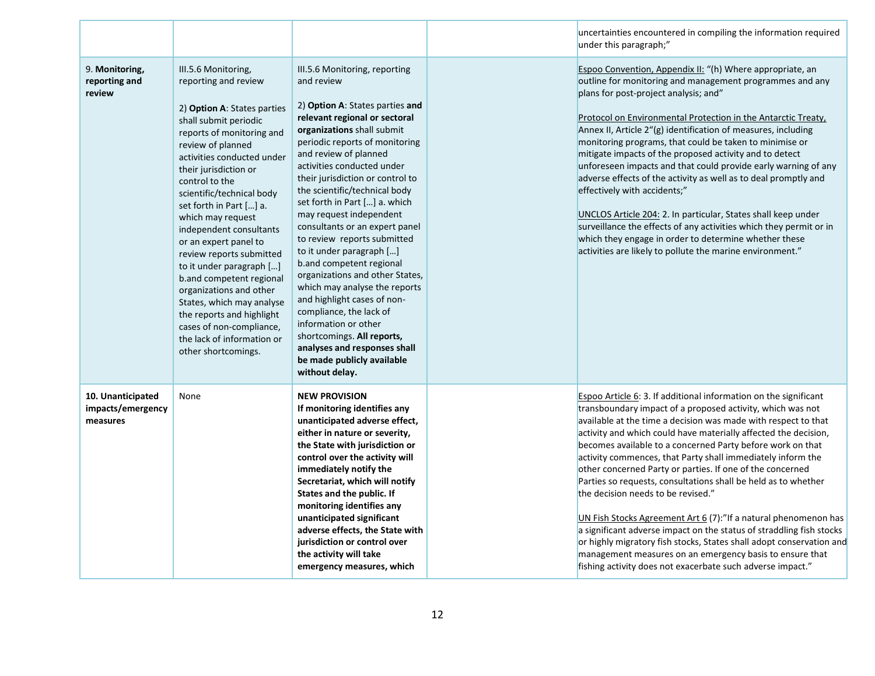|                                                    |                                                                                                                                                                                                                                                                                                                                                                                                                                                                                                                                                                                                                           |                                                                                                                                                                                                                                                                                                                                                                                                                                                                                                                                                                                                                                                                                                                                                                      | uncertainties encountered in compiling the information required<br>under this paragraph;"                                                                                                                                                                                                                                                                                                                                                                                                                                                                                                                                                                                                                                                                                                                                                                                                                          |
|----------------------------------------------------|---------------------------------------------------------------------------------------------------------------------------------------------------------------------------------------------------------------------------------------------------------------------------------------------------------------------------------------------------------------------------------------------------------------------------------------------------------------------------------------------------------------------------------------------------------------------------------------------------------------------------|----------------------------------------------------------------------------------------------------------------------------------------------------------------------------------------------------------------------------------------------------------------------------------------------------------------------------------------------------------------------------------------------------------------------------------------------------------------------------------------------------------------------------------------------------------------------------------------------------------------------------------------------------------------------------------------------------------------------------------------------------------------------|--------------------------------------------------------------------------------------------------------------------------------------------------------------------------------------------------------------------------------------------------------------------------------------------------------------------------------------------------------------------------------------------------------------------------------------------------------------------------------------------------------------------------------------------------------------------------------------------------------------------------------------------------------------------------------------------------------------------------------------------------------------------------------------------------------------------------------------------------------------------------------------------------------------------|
| 9. Monitoring,<br>reporting and<br>review          | III.5.6 Monitoring,<br>reporting and review<br>2) Option A: States parties<br>shall submit periodic<br>reports of monitoring and<br>review of planned<br>activities conducted under<br>their jurisdiction or<br>control to the<br>scientific/technical body<br>set forth in Part [] a.<br>which may request<br>independent consultants<br>or an expert panel to<br>review reports submitted<br>to it under paragraph []<br>b.and competent regional<br>organizations and other<br>States, which may analyse<br>the reports and highlight<br>cases of non-compliance,<br>the lack of information or<br>other shortcomings. | III.5.6 Monitoring, reporting<br>and review<br>2) Option A: States parties and<br>relevant regional or sectoral<br>organizations shall submit<br>periodic reports of monitoring<br>and review of planned<br>activities conducted under<br>their jurisdiction or control to<br>the scientific/technical body<br>set forth in Part [] a. which<br>may request independent<br>consultants or an expert panel<br>to review reports submitted<br>to it under paragraph []<br>b.and competent regional<br>organizations and other States,<br>which may analyse the reports<br>and highlight cases of non-<br>compliance, the lack of<br>information or other<br>shortcomings. All reports,<br>analyses and responses shall<br>be made publicly available<br>without delay. | Espoo Convention, Appendix II: "(h) Where appropriate, an<br>outline for monitoring and management programmes and any<br>plans for post-project analysis; and"<br>Protocol on Environmental Protection in the Antarctic Treaty,<br>Annex II, Article 2"(g) identification of measures, including<br>monitoring programs, that could be taken to minimise or<br>mitigate impacts of the proposed activity and to detect<br>unforeseen impacts and that could provide early warning of any<br>adverse effects of the activity as well as to deal promptly and<br>effectively with accidents;"<br>UNCLOS Article 204: 2. In particular, States shall keep under<br>surveillance the effects of any activities which they permit or in<br>which they engage in order to determine whether these<br>activities are likely to pollute the marine environment."                                                           |
| 10. Unanticipated<br>impacts/emergency<br>measures | None                                                                                                                                                                                                                                                                                                                                                                                                                                                                                                                                                                                                                      | <b>NEW PROVISION</b><br>If monitoring identifies any<br>unanticipated adverse effect,<br>either in nature or severity,<br>the State with jurisdiction or<br>control over the activity will<br>immediately notify the<br>Secretariat, which will notify<br>States and the public. If<br>monitoring identifies any<br>unanticipated significant<br>adverse effects, the State with<br>jurisdiction or control over<br>the activity will take<br>emergency measures, which                                                                                                                                                                                                                                                                                              | Espoo Article 6: 3. If additional information on the significant<br>transboundary impact of a proposed activity, which was not<br>available at the time a decision was made with respect to that<br>activity and which could have materially affected the decision,<br>becomes available to a concerned Party before work on that<br>activity commences, that Party shall immediately inform the<br>other concerned Party or parties. If one of the concerned<br>Parties so requests, consultations shall be held as to whether<br>the decision needs to be revised."<br>UN Fish Stocks Agreement Art 6 (7):"If a natural phenomenon has<br>a significant adverse impact on the status of straddling fish stocks<br>or highly migratory fish stocks, States shall adopt conservation and<br>management measures on an emergency basis to ensure that<br>fishing activity does not exacerbate such adverse impact." |